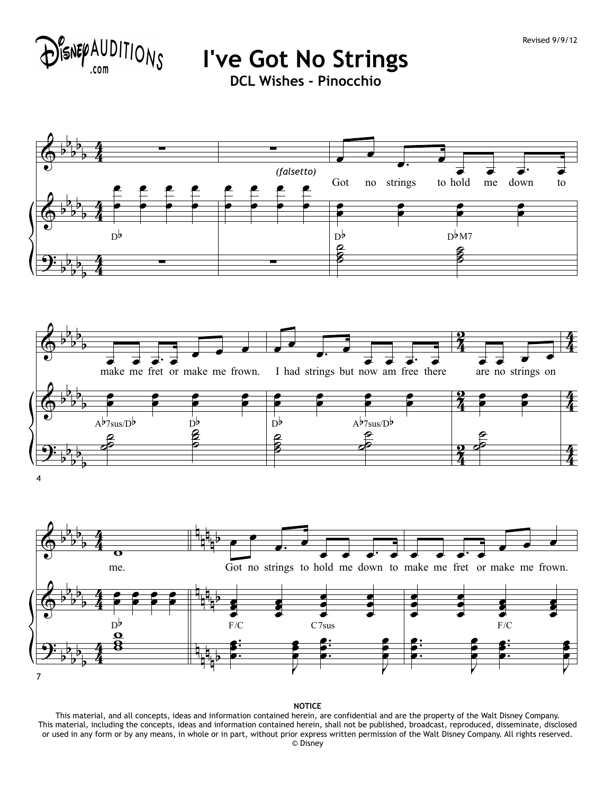

**I've Got No Strings**

**DCL Wishes - Pinocchio**







**NOTICE**

This material, and all concepts, ideas and information contained herein, are confidential and are the property of the Walt Disney Company. This material, including the concepts, ideas and information contained herein, shall not be published, broadcast, reproduced, disseminate, disclosed or used in any form or by any means, in whole or in part, without prior express written permission of the Walt Disney Company. All rights reserved. © Disney